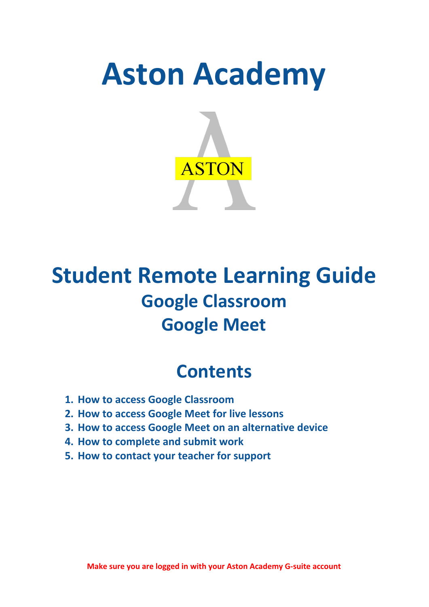# **Aston Academy**



# **Student Remote Learning Guide Google Classroom Google Meet**

# **Contents**

- **1. How to access Google Classroom**
- **2. How to access Google Meet for live lessons**
- **3. How to access Google Meet on an alternative device**
- **4. How to complete and submit work**
- **5. How to contact your teacher for support**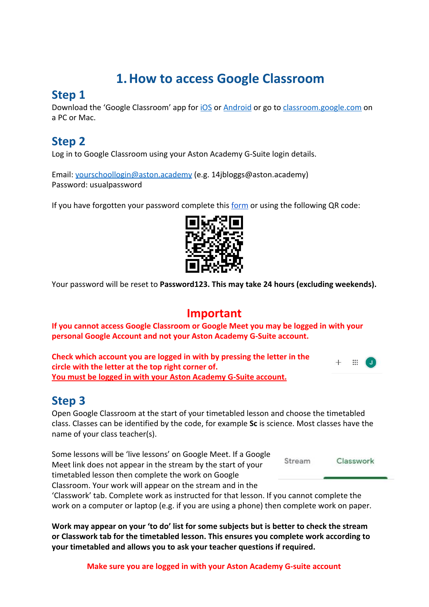### **1.How to access Google Classroom**

#### **Step 1**

Download the 'Google Classroom' app for [iOS](https://apps.apple.com/gb/app/google-classroom/id924620788) or [Android](https://play.google.com/store/apps/details?id=com.google.android.apps.classroom&hl=en_GB) or go to [classroom.google.com](http://classroom.google.com/) on a PC or Mac.

#### **Step 2**

Log in to Google Classroom using your Aston Academy G-Suite login details.

Email: [yourschoollogin@aston.academy](mailto:yourschoollogin@aston.academy) (e.g. 14jbloggs@aston.academy) Password: usualpassword

If you have forgotten your password complete this [form](https://forms.gle/B5tDay8nyGTp895AA) or using the following QR code:



Your password will be reset to **Password123. This may take 24 hours (excluding weekends).**

#### **Important**

**If you cannot access Google Classroom or Google Meet you may be logged in with your personal Google Account and not your Aston Academy G-Suite account.**

**Check which account you are logged in with by pressing the letter in the circle with the letter at the top right corner of. You must be logged in with your Aston Academy G-Suite account.**

| ∷ |
|---|
|---|

Classwork

Stream

#### **Step 3**

Open Google Classroom at the start of your timetabled lesson and choose the timetabled class. Classes can be identified by the code, for example **Sc** is science. Most classes have the name of your class teacher(s).

Some lessons will be 'live lessons' on Google Meet. If a Google Meet link does not appear in the stream by the start of your timetabled lesson then complete the work on Google

'Classwork' tab. Complete work as instructed for that lesson. If you cannot complete the work on a computer or laptop (e.g. if you are using a phone) then complete work on paper.

**Work may appear on your 'to do' list for some subjects but is better to check the stream or Classwork tab for the timetabled lesson. This ensures you complete work according to your timetabled and allows you to ask your teacher questions if required.**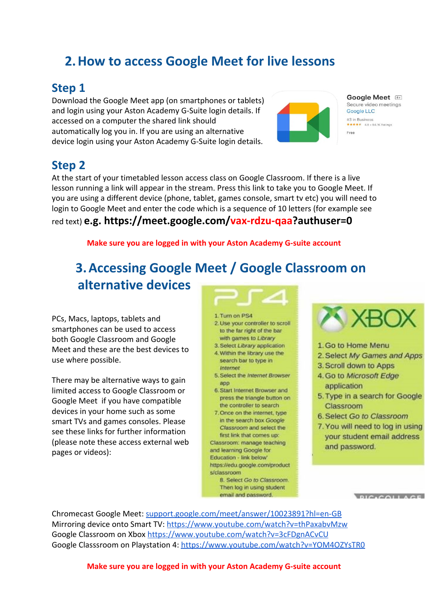### **2.How to access Google Meet for live lessons**

#### **Step 1**

Download the Google Meet app (on smartphones or tablets) and login using your Aston Academy G-Suite login details. If accessed on a computer the shared link should automatically log you in. If you are using an alternative device login using your Aston Academy G-Suite login details.



Google Meet 4+ Secure video meetings Google LLC #3 in Business \*\*\*\*\* 4.5 . 54.1K Ratings Free

#### **Step 2**

At the start of your timetabled lesson access class on Google Classroom. If there is a live lesson running a link will appear in the stream. Press this link to take you to Google Meet. If you are using a different device (phone, tablet, games console, smart tv etc) you will need to login to Google Meet and enter the code which is a sequence of 10 letters (for example see red text) **e.g. https://meet.google.com/vax-rdzu-qaa?authuser=0**

#### **Make sure you are logged in with your Aston Academy G-suite account**

## **3.Accessing Google Meet / Google Classroom on alternative devices**

PCs, Macs, laptops, tablets and smartphones can be used to access both Google Classroom and Google Meet and these are the best devices to use where possible.

There may be alternative ways to gain limited access to Google Classroom or Google Meet if you have compatible devices in your home such as some smart TVs and games consoles. Please see these links for further information (please note these access external web pages or videos):

#### 1. Turn on PS4

- 2. Use your controller to scroll to the far right of the bar with games to Library
- 3. Select Library application
- 4. Within the library use the
- search bar to type in Internet
- 5. Select the Internet Browser app
- 6. Start Internet Browser and press the triangle button on the controller to search
- 7. Once on the internet, type in the search box Google Classroom and select the first link that comes up:

Classroom: manage teaching and learning Google for Education - link below' https://edu.google.com/product s/classroom

8. Select Go to Classroom. Then log in using student email and password.



- 1. Go to Home Menu
- 2. Select My Games and Apps
- 3. Scroll down to Apps
- 4. Go to Microsoft Edge application
- 5. Type in a search for Google Classroom
- 6. Select Go to Classroom
- 7. You will need to log in using your student email address and password.

 $DIC$ 

Chromecast Google Meet: [support.google.com/meet/answer/10023891?hl=en-GB](https://support.google.com/meet/answer/10023891?hl=en-GB) Mirroring device onto Smart TV: <https://www.youtube.com/watch?v=thPaxabvMzw> Google Classroom on Xbox <https://www.youtube.com/watch?v=3cFDgnACvCU> Google Classsroom on Playstation 4:<https://www.youtube.com/watch?v=YOM4OZYsTR0>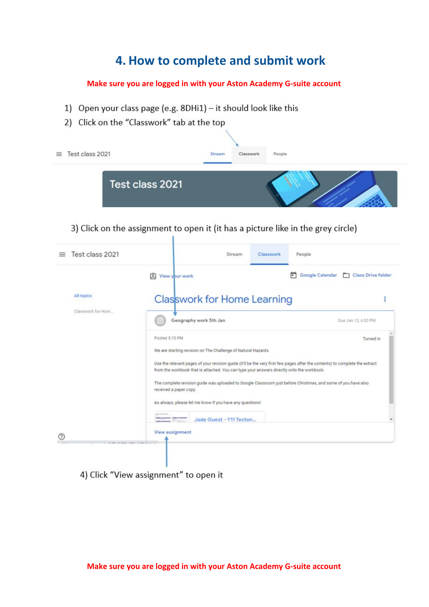#### **4. How to complete and submit work**

#### **Make sure you are logged in with your Aston Academy G-suite account**

- 1) Open your class page (e.g. 8DHi1) it should look like this
- 2) Click on the "Classwork" tab at the top

| Test class 2021<br>$=$      |                                                                                  | Classwork<br>Stream | People    |                      |                                |
|-----------------------------|----------------------------------------------------------------------------------|---------------------|-----------|----------------------|--------------------------------|
|                             | Test class 2021                                                                  |                     |           |                      |                                |
| Test class 2021<br>$\equiv$ | 3) Click on the assignment to open it (it has a picture like in the grey circle) | Stream              | Classwork | People               |                                |
|                             | 回<br>View your work                                                              |                     |           | m<br>Google Calendar | <b>Class Drive folder</b><br>n |
| All topics                  | <b>Classwork for Home Learning</b>                                               |                     |           |                      |                                |
|                             |                                                                                  |                     |           |                      |                                |

| Geography work 5th Jan<br>GI                                                                                                                                                                                              | Due Jan 12, 6:00 PM |
|---------------------------------------------------------------------------------------------------------------------------------------------------------------------------------------------------------------------------|---------------------|
| Posted 5:15 PM                                                                                                                                                                                                            | Turned in           |
| We are starting revision on The Challenge of Natural Hazards.                                                                                                                                                             |                     |
| Use the relevant pages of your revision guide (it'll be the very first few pages after the contents) to complete the extract<br>from the workbook that is attached. You can type your answers directly onto the workbook. |                     |
| The complete revision quide was uploaded to Google Classroom just before Christmas, and some of you have also<br>received a paper copy.                                                                                   |                     |
| As always, please let me know if you have any questions!                                                                                                                                                                  |                     |
| Jade Guest - Y11 Tecton                                                                                                                                                                                                   |                     |
| View assignment                                                                                                                                                                                                           |                     |

4) Click "View assignment" to open it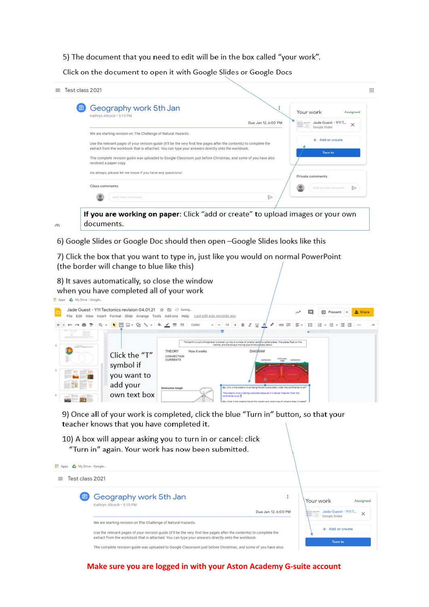5) The document that you need to edit will be in the box called "your work".

Click on the document to open it with Google Slides or Google Docs

| 目 | Geography work 5th Jan<br>Kathryn Allcock · 5:15 PM                                                                                                                                                                       | Your work<br>Assigned                           |
|---|---------------------------------------------------------------------------------------------------------------------------------------------------------------------------------------------------------------------------|-------------------------------------------------|
|   | Due Jan 12, 6:00 PM                                                                                                                                                                                                       | Jade Guest - Y11 T<br>$\times$<br>Google Slides |
|   | We are starting revision on The Challenge of Natural Hazards.                                                                                                                                                             |                                                 |
|   | Use the relevant pages of your revision guide (it'll be the very first few pages after the contents) to complete the<br>extract from the workbook that is attached. You can type your answers directly onto the workbook. | + Add or create<br><b>Turn in</b>               |
|   | The complete revision guide was uploaded to Google Classroom just before Christmas, and some of you have also<br>received a paper copy.                                                                                   |                                                 |
|   | As always, please let me know if you have any questions!                                                                                                                                                                  | Private comments                                |
|   | Class comments                                                                                                                                                                                                            | Add private comment.<br>$\triangleright$        |
|   | $\triangleright$<br>Add class comment                                                                                                                                                                                     |                                                 |

6) Google Slides or Google Doc should then open -Google Slides looks like this

7) Click the box that you want to type in, just like you would on normal PowerPoint (the border will change to blue like this)

8) It saves automatically, so close the window when you have completed all of your work

| E                                            | Jade Guest - Y11 Tectonics revision 04.01.21 $\;$ $\uparrow$ (El C) Saving | File Edit View Insert Format Slide Arrange Tools Add-ons Help Lasteditwas.seconds.ago                                  |                                                                                                                                                                                          |                                                                                   |                               | $\Box$ | Present | Share |  |
|----------------------------------------------|----------------------------------------------------------------------------|------------------------------------------------------------------------------------------------------------------------|------------------------------------------------------------------------------------------------------------------------------------------------------------------------------------------|-----------------------------------------------------------------------------------|-------------------------------|--------|---------|-------|--|
| --<br>---                                    | <b>いつら P Q - k 団 Q - Q ヽ - A / 三 三 Gilbri</b>                              | <u> ALLE STATISTICI IN ALLE ANNI DISTINGUI IN ANNI DISTINGUI IN ANNI DISTINGUI IN ANNI DISTINGUI IN ANNI DISTINGUI</u> | $- 14 + B I U A$                                                                                                                                                                         |                                                                                   | ♪ ∞ 円 三 - 1 : 旧 - 三 - 三 - 三 - |        |         |       |  |
| <b>CONTRACT</b><br><b>ATMOSFIELD</b><br>11 7 | Click the "T"<br>symbol if<br>you want to<br>add your                      | THEORY<br>How it works<br>CONVECTION<br><b>CURRENTS</b>                                                                | The Earth's crust (innosohere) is broken up into a number of smaller sections called plates. The plates float on the<br>mantle, and are always moving due to the process below.          | <b>DIAGRAM</b><br><b>AutoBurne</b>                                                | addution                      |        |         |       |  |
| <b>STEWART</b>                               | own text box                                                               | <b>Destructive margin</b>                                                                                              | QL. Why is the oceanic crust being forced (subducted) under the continental crust?<br>The oceanic crust is being subducted because it is denser (heavier) than the<br>continental crust. | 02, What is the magnetike at this margin and what type of volcano does it create? |                               |        |         |       |  |

9) Once all of your work is completed, click the blue "Turn in" button, so that your teacher knows that you have completed it.

10) A box will appear asking you to turn in or cancel: click "Turn in" again. Your work has now been submitted.

| My Drive - Google<br>H Apps<br>Test class 2021<br>$\equiv$ |                                                                                                                                                                                                                                                                                            |                                                                            |
|------------------------------------------------------------|--------------------------------------------------------------------------------------------------------------------------------------------------------------------------------------------------------------------------------------------------------------------------------------------|----------------------------------------------------------------------------|
| E                                                          | Geography work 5th Jan<br>÷<br>Kathryn Allcock · 5:15 PM                                                                                                                                                                                                                                   | Your work<br>Assigned                                                      |
|                                                            | Due Jan 12, 6:00 PM                                                                                                                                                                                                                                                                        | Jade Guest - Y11T.<br>$= -$<br>$\times$<br><b>Remarks</b><br>Google Slides |
|                                                            | We are starting revision on The Challenge of Natural Hazards.<br>Use the relevant pages of your revision guide (it'll be the very first few pages after the contents) to complete the<br>extract from the workbook that is attached. You can type your answers directly onto the workbook. | + Add or create<br><b>Turn in</b>                                          |
|                                                            | The complete revision guide was uploaded to Google Classroom just before Christmas, and some of you have also                                                                                                                                                                              |                                                                            |